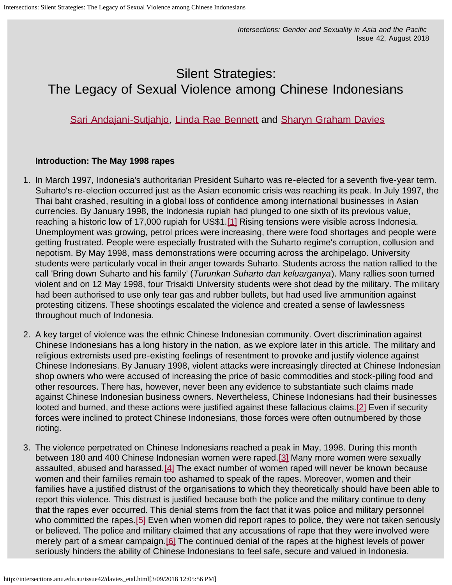# <span id="page-0-6"></span>Silent Strategies: The Legacy of Sexual Violence among Chinese Indonesians

# [Sari Andajani-Sutjahjo](mailto:sari.andajani@aut.ac.nz), [Linda Rae Bennett](mailto:lbennett@unimelb.edu.au) and [Sharyn Graham Davies](mailto:sharyn.davies@aut.ac.nz)

## **Introduction: The May 1998 rapes**

- <span id="page-0-0"></span>1. In March 1997, Indonesia's authoritarian President Suharto was re-elected for a seventh five-year term. Suharto's re-election occurred just as the Asian economic crisis was reaching its peak. In July 1997, the Thai baht crashed, resulting in a global loss of confidence among international businesses in Asian currencies. By January 1998, the Indonesia rupiah had plunged to one sixth of its previous value, reaching a historic low of 17,000 rupiah for US\$1.[\[1\]](#page-8-0) Rising tensions were visible across Indonesia. Unemployment was growing, petrol prices were increasing, there were food shortages and people were getting frustrated. People were especially frustrated with the Suharto regime's corruption, collusion and nepotism. By May 1998, mass demonstrations were occurring across the archipelago. University students were particularly vocal in their anger towards Suharto. Students across the nation rallied to the call 'Bring down Suharto and his family' (*Turunkan Suharto dan keluarganya*). Many rallies soon turned violent and on 12 May 1998, four Trisakti University students were shot dead by the military. The military had been authorised to use only tear gas and rubber bullets, but had used live ammunition against protesting citizens. These shootings escalated the violence and created a sense of lawlessness throughout much of Indonesia.
- 2. A key target of violence was the ethnic Chinese Indonesian community. Overt discrimination against Chinese Indonesians has a long history in the nation, as we explore later in this article. The military and religious extremists used pre-existing feelings of resentment to provoke and justify violence against Chinese Indonesians. By January 1998, violent attacks were increasingly directed at Chinese Indonesian shop owners who were accused of increasing the price of basic commodities and stock-piling food and other resources. There has, however, never been any evidence to substantiate such claims made against Chinese Indonesian business owners. Nevertheless, Chinese Indonesians had their businesses looted and burned, and these actions were justified against these fallacious claims.<sup>[\[2\]](#page-8-1)</sup> Even if security forces were inclined to protect Chinese Indonesians, those forces were often outnumbered by those rioting.
- <span id="page-0-5"></span><span id="page-0-4"></span><span id="page-0-3"></span><span id="page-0-2"></span><span id="page-0-1"></span>3. The violence perpetrated on Chinese Indonesians reached a peak in May, 1998. During this month between 180 and 400 Chinese Indonesian women were raped.[\[3\]](#page-8-2) Many more women were sexually assaulted, abused and harassed.[\[4\]](#page-8-3) The exact number of women raped will never be known because women and their families remain too ashamed to speak of the rapes. Moreover, women and their families have a justified distrust of the organisations to which they theoretically should have been able to report this violence. This distrust is justified because both the police and the military continue to deny that the rapes ever occurred. This denial stems from the fact that it was police and military personnel who committed the rapes.<sup>[\[5\]](#page-8-4)</sup> Even when women did report rapes to police, they were not taken seriously or believed. The police and military claimed that any accusations of rape that they were involved were merely part of a smear campaign. [\[6\]](#page-8-5) The continued denial of the rapes at the highest levels of power seriously hinders the ability of Chinese Indonesians to feel safe, secure and valued in Indonesia.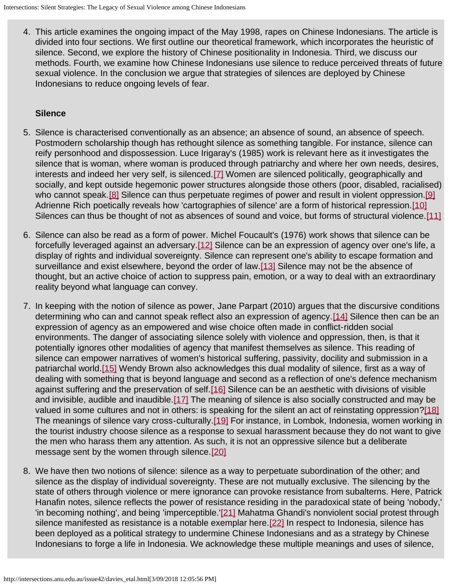4. This article examines the ongoing impact of the May 1998, rapes on Chinese Indonesians. The article is divided into four sections. We first outline our theoretical framework, which incorporates the heuristic of silence. Second, we explore the history of Chinese positionality in Indonesia. Third, we discuss our methods. Fourth, we examine how Chinese Indonesians use silence to reduce perceived threats of future sexual violence. In the conclusion we argue that strategies of silences are deployed by Chinese Indonesians to reduce ongoing levels of fear.

## **Silence**

- <span id="page-1-0"></span>5. Silence is characterised conventionally as an absence; an absence of sound, an absence of speech. Postmodern scholarship though has rethought silence as something tangible. For instance, silence can reify personhood and dispossession. Luce Irigaray's (1985) work is relevant here as it investigates the silence that is woman, where woman is produced through patriarchy and where her own needs, desires, interests and indeed her very self, is silenced.[\[7\]](#page-8-6) Women are silenced politically, geographically and socially, and kept outside hegemonic power structures alongside those others (poor, disabled, racialised) who cannot speak.<sup>[\[8\]](#page-8-7)</sup> Silence can thus perpetuate regimes of power and result in violent oppression.<sup>[\[9\]](#page-8-8)</sup> Adrienne Rich poetically reveals how 'cartographies of silence' are a form of historical repression.[\[10\]](#page-8-9) Silences can thus be thought of not as absences of sound and voice, but forms of structural violence.[\[11\]](#page-8-10)
- <span id="page-1-5"></span><span id="page-1-4"></span><span id="page-1-3"></span><span id="page-1-2"></span><span id="page-1-1"></span>6. Silence can also be read as a form of power. Michel Foucault's (1976) work shows that silence can be forcefully leveraged against an adversary.[\[12\]](#page-9-0) Silence can be an expression of agency over one's life, a display of rights and individual sovereignty. Silence can represent one's ability to escape formation and surveillance and exist elsewhere, beyond the order of law.[\[13\]](#page-9-1) Silence may not be the absence of thought, but an active choice of action to suppress pain, emotion, or a way to deal with an extraordinary reality beyond what language can convey.
- <span id="page-1-7"></span><span id="page-1-6"></span>7. In keeping with the notion of silence as power, Jane Parpart (2010) argues that the discursive conditions determining who can and cannot speak reflect also an expression of agency.[\[14\]](#page-9-2) Silence then can be an expression of agency as an empowered and wise choice often made in conflict-ridden social environments. The danger of associating silence solely with violence and oppression, then, is that it potentially ignores other modalities of agency that manifest themselves as silence. This reading of silence can empower narratives of women's historical suffering, passivity, docility and submission in a patriarchal world[.\[15\]](#page-9-3) Wendy Brown also acknowledges this dual modality of silence, first as a way of dealing with something that is beyond language and second as a reflection of one's defence mechanism against suffering and the preservation of self.<sup>[16]</sup> Silence can be an aesthetic with divisions of visible and invisible, audible and inaudible. [17] The meaning of silence is also socially constructed and may be valued in some cultures and not in others: is speaking for the silent an act of reinstating oppression?[\[18\]](#page-9-6) The meanings of silence vary cross-culturally.<sup>[19]</sup> For instance, in Lombok, Indonesia, women working in the tourist industry choose silence as a response to sexual harassment because they do not want to give the men who harass them any attention. As such, it is not an oppressive silence but a deliberate message sent by the women through silence.[\[20\]](#page-9-8)
- <span id="page-1-14"></span><span id="page-1-13"></span><span id="page-1-12"></span><span id="page-1-11"></span><span id="page-1-10"></span><span id="page-1-9"></span><span id="page-1-8"></span>8. We have then two notions of silence: silence as a way to perpetuate subordination of the other; and silence as the display of individual sovereignty. These are not mutually exclusive. The silencing by the state of others through violence or mere ignorance can provoke resistance from subalterns. Here, Patrick Hanafin notes, silence reflects the power of resistance residing in the paradoxical state of being 'nobody,' 'in becoming nothing', and being 'imperceptible.'[\[21\]](#page-9-9) Mahatma Ghandi's nonviolent social protest through silence manifested as resistance is a notable exemplar here.[\[22\]](#page-9-10) In respect to Indonesia, silence has been deployed as a political strategy to undermine Chinese Indonesians and as a strategy by Chinese Indonesians to forge a life in Indonesia. We acknowledge these multiple meanings and uses of silence,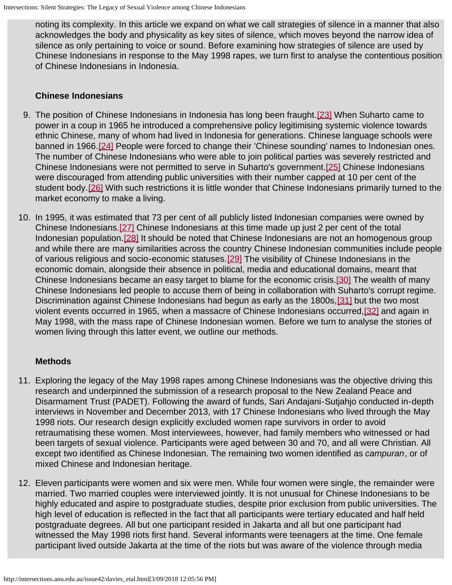noting its complexity. In this article we expand on what we call strategies of silence in a manner that also acknowledges the body and physicality as key sites of silence, which moves beyond the narrow idea of silence as only pertaining to voice or sound. Before examining how strategies of silence are used by Chinese Indonesians in response to the May 1998 rapes, we turn first to analyse the contentious position of Chinese Indonesians in Indonesia.

## **Chinese Indonesians**

- <span id="page-2-1"></span><span id="page-2-0"></span>9. The position of Chinese Indonesians in Indonesia has long been fraught.[\[23\]](#page-9-11) When Suharto came to power in a coup in 1965 he introduced a comprehensive policy legitimising systemic violence towards ethnic Chinese, many of whom had lived in Indonesia for generations. Chinese language schools were banned in 1966.[\[24\]](#page-9-12) People were forced to change their 'Chinese sounding' names to Indonesian ones. The number of Chinese Indonesians who were able to join political parties was severely restricted and Chinese Indonesians were not permitted to serve in Suharto's government.[\[25\]](#page-9-13) Chinese Indonesians were discouraged from attending public universities with their number capped at 10 per cent of the student body.<sup>[26]</sup> With such restrictions it is little wonder that Chinese Indonesians primarily turned to the market economy to make a living.
- <span id="page-2-7"></span><span id="page-2-6"></span><span id="page-2-5"></span><span id="page-2-4"></span><span id="page-2-3"></span><span id="page-2-2"></span>10. In 1995, it was estimated that 73 per cent of all publicly listed Indonesian companies were owned by Chinese Indonesians.[\[27\]](#page-9-15) Chinese Indonesians at this time made up just 2 per cent of the total Indonesian population.[\[28\]](#page-9-16) It should be noted that Chinese Indonesians are not an homogenous group and while there are many similarities across the country Chinese Indonesian communities include people of various religious and socio-economic statuses.[\[29\]](#page-9-17) The visibility of Chinese Indonesians in the economic domain, alongside their absence in political, media and educational domains, meant that Chinese Indonesians became an easy target to blame for the economic crisis.[\[30\]](#page-9-18) The wealth of many Chinese Indonesians led people to accuse them of being in collaboration with Suharto's corrupt regime. Discrimination against Chinese Indonesians had begun as early as the 1800s, [\[31\]](#page-9-19) but the two most violent events occurred in 1965, when a massacre of Chinese Indonesians occurred[,\[32\]](#page-9-20) and again in May 1998, with the mass rape of Chinese Indonesian women. Before we turn to analyse the stories of women living through this latter event, we outline our methods.

## <span id="page-2-9"></span><span id="page-2-8"></span>**Methods**

- 11. Exploring the legacy of the May 1998 rapes among Chinese Indonesians was the objective driving this research and underpinned the submission of a research proposal to the New Zealand Peace and Disarmament Trust (PADET). Following the award of funds, Sari Andajani-Sutjahjo conducted in-depth interviews in November and December 2013, with 17 Chinese Indonesians who lived through the May 1998 riots. Our research design explicitly excluded women rape survivors in order to avoid retraumatising these women. Most interviewees, however, had family members who witnessed or had been targets of sexual violence. Participants were aged between 30 and 70, and all were Christian. All except two identified as Chinese Indonesian. The remaining two women identified as *campuran*, or of mixed Chinese and Indonesian heritage.
- 12. Eleven participants were women and six were men. While four women were single, the remainder were married. Two married couples were interviewed jointly. It is not unusual for Chinese Indonesians to be highly educated and aspire to postgraduate studies, despite prior exclusion from public universities. The high level of education is reflected in the fact that all participants were tertiary educated and half held postgraduate degrees. All but one participant resided in Jakarta and all but one participant had witnessed the May 1998 riots first hand. Several informants were teenagers at the time. One female participant lived outside Jakarta at the time of the riots but was aware of the violence through media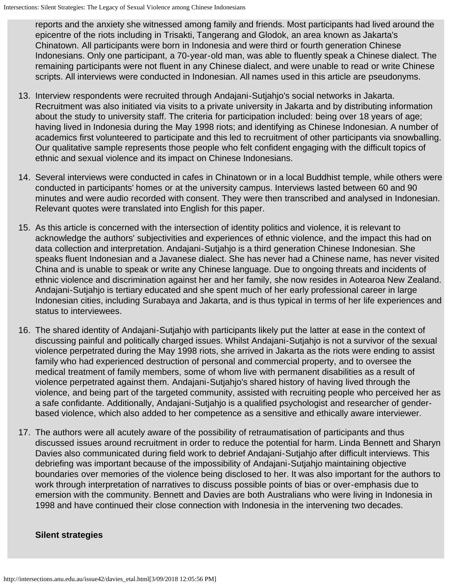reports and the anxiety she witnessed among family and friends. Most participants had lived around the epicentre of the riots including in Trisakti, Tangerang and Glodok, an area known as Jakarta's Chinatown. All participants were born in Indonesia and were third or fourth generation Chinese Indonesians. Only one participant, a 70-year-old man, was able to fluently speak a Chinese dialect. The remaining participants were not fluent in any Chinese dialect, and were unable to read or write Chinese scripts. All interviews were conducted in Indonesian. All names used in this article are pseudonyms.

- 13. Interview respondents were recruited through Andajani-Sutjahjo's social networks in Jakarta. Recruitment was also initiated via visits to a private university in Jakarta and by distributing information about the study to university staff. The criteria for participation included: being over 18 years of age; having lived in Indonesia during the May 1998 riots; and identifying as Chinese Indonesian. A number of academics first volunteered to participate and this led to recruitment of other participants via snowballing. Our qualitative sample represents those people who felt confident engaging with the difficult topics of ethnic and sexual violence and its impact on Chinese Indonesians.
- 14. Several interviews were conducted in cafes in Chinatown or in a local Buddhist temple, while others were conducted in participants' homes or at the university campus. Interviews lasted between 60 and 90 minutes and were audio recorded with consent. They were then transcribed and analysed in Indonesian. Relevant quotes were translated into English for this paper.
- 15. As this article is concerned with the intersection of identity politics and violence, it is relevant to acknowledge the authors' subjectivities and experiences of ethnic violence, and the impact this had on data collection and interpretation. Andajani-Sutjahjo is a third generation Chinese Indonesian. She speaks fluent Indonesian and a Javanese dialect. She has never had a Chinese name, has never visited China and is unable to speak or write any Chinese language. Due to ongoing threats and incidents of ethnic violence and discrimination against her and her family, she now resides in Aotearoa New Zealand. Andajani-Sutjahjo is tertiary educated and she spent much of her early professional career in large Indonesian cities, including Surabaya and Jakarta, and is thus typical in terms of her life experiences and status to interviewees.
- 16. The shared identity of Andajani-Sutjahjo with participants likely put the latter at ease in the context of discussing painful and politically charged issues. Whilst Andajani-Sutjahjo is not a survivor of the sexual violence perpetrated during the May 1998 riots, she arrived in Jakarta as the riots were ending to assist family who had experienced destruction of personal and commercial property, and to oversee the medical treatment of family members, some of whom live with permanent disabilities as a result of violence perpetrated against them. Andajani-Sutjahjo's shared history of having lived through the violence, and being part of the targeted community, assisted with recruiting people who perceived her as a safe confidante. Additionally, Andajani-Sutjahjo is a qualified psychologist and researcher of genderbased violence, which also added to her competence as a sensitive and ethically aware interviewer.
- 17. The authors were all acutely aware of the possibility of retraumatisation of participants and thus discussed issues around recruitment in order to reduce the potential for harm. Linda Bennett and Sharyn Davies also communicated during field work to debrief Andajani-Sutjahjo after difficult interviews. This debriefing was important because of the impossibility of Andajani-Sutjahjo maintaining objective boundaries over memories of the violence being disclosed to her. It was also important for the authors to work through interpretation of narratives to discuss possible points of bias or over-emphasis due to emersion with the community. Bennett and Davies are both Australians who were living in Indonesia in 1998 and have continued their close connection with Indonesia in the intervening two decades.

## **Silent strategies**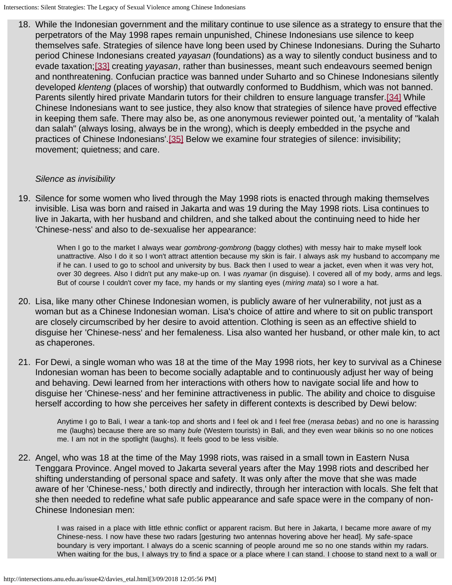<span id="page-4-1"></span><span id="page-4-0"></span>18. While the Indonesian government and the military continue to use silence as a strategy to ensure that the perpetrators of the May 1998 rapes remain unpunished, Chinese Indonesians use silence to keep themselves safe. Strategies of silence have long been used by Chinese Indonesians. During the Suharto period Chinese Indonesians created *yayasan* (foundations) as a way to silently conduct business and to evade taxation;[\[33\]](#page-9-21) creating *yayasan*, rather than businesses, meant such endeavours seemed benign and nonthreatening. Confucian practice was banned under Suharto and so Chinese Indonesians silently developed *klenteng* (places of worship) that outwardly conformed to Buddhism, which was not banned. Parents silently hired private Mandarin tutors for their children to ensure language transfer.<sup>[34]</sup> While Chinese Indonesians want to see justice, they also know that strategies of silence have proved effective in keeping them safe. There may also be, as one anonymous reviewer pointed out, 'a mentality of "kalah dan salah" (always losing, always be in the wrong), which is deeply embedded in the psyche and practices of Chinese Indonesians'.[\[35\]](#page-10-1) Below we examine four strategies of silence: invisibility; movement; quietness; and care.

## <span id="page-4-2"></span>*Silence as invisibility*

19. Silence for some women who lived through the May 1998 riots is enacted through making themselves invisible. Lisa was born and raised in Jakarta and was 19 during the May 1998 riots. Lisa continues to live in Jakarta, with her husband and children, and she talked about the continuing need to hide her 'Chinese-ness' and also to de-sexualise her appearance:

When I go to the market I always wear *gombrong-gombrong* (baggy clothes) with messy hair to make myself look unattractive. Also I do it so I won't attract attention because my skin is fair. I always ask my husband to accompany me if he can. I used to go to school and university by bus. Back then I used to wear a jacket, even when it was very hot, over 30 degrees. Also I didn't put any make-up on. I was *nyamar* (in disguise). I covered all of my body, arms and legs. But of course I couldn't cover my face, my hands or my slanting eyes (*miring mata*) so I wore a hat.

- 20. Lisa, like many other Chinese Indonesian women, is publicly aware of her vulnerability, not just as a woman but as a Chinese Indonesian woman. Lisa's choice of attire and where to sit on public transport are closely circumscribed by her desire to avoid attention. Clothing is seen as an effective shield to disguise her 'Chinese-ness' and her femaleness. Lisa also wanted her husband, or other male kin, to act as chaperones.
- 21. For Dewi, a single woman who was 18 at the time of the May 1998 riots, her key to survival as a Chinese Indonesian woman has been to become socially adaptable and to continuously adjust her way of being and behaving. Dewi learned from her interactions with others how to navigate social life and how to disguise her 'Chinese-ness' and her feminine attractiveness in public. The ability and choice to disguise herself according to how she perceives her safety in different contexts is described by Dewi below:

Anytime I go to Bali, I wear a tank-top and shorts and I feel ok and I feel free (*merasa bebas*) and no one is harassing me (laughs) because there are so many *bule* (Western tourists) in Bali, and they even wear bikinis so no one notices me. I am not in the spotlight (laughs). It feels good to be less visible.

22. Angel, who was 18 at the time of the May 1998 riots, was raised in a small town in Eastern Nusa Tenggara Province. Angel moved to Jakarta several years after the May 1998 riots and described her shifting understanding of personal space and safety. It was only after the move that she was made aware of her 'Chinese-ness,' both directly and indirectly, through her interaction with locals. She felt that she then needed to redefine what safe public appearance and safe space were in the company of non-Chinese Indonesian men:

I was raised in a place with little ethnic conflict or apparent racism. But here in Jakarta, I became more aware of my Chinese-ness. I now have these two radars [gesturing two antennas hovering above her head]. My safe-space boundary is very important. I always do a scenic scanning of people around me so no one stands within my radars. When waiting for the bus, I always try to find a space or a place where I can stand. I choose to stand next to a wall or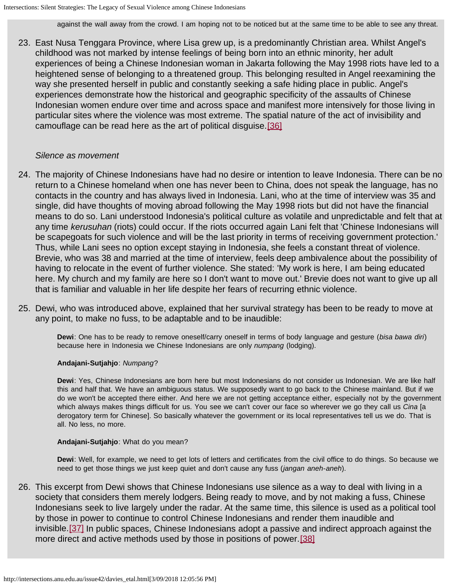against the wall away from the crowd. I am hoping not to be noticed but at the same time to be able to see any threat.

23. East Nusa Tenggara Province, where Lisa grew up, is a predominantly Christian area. Whilst Angel's childhood was not marked by intense feelings of being born into an ethnic minority, her adult experiences of being a Chinese Indonesian woman in Jakarta following the May 1998 riots have led to a heightened sense of belonging to a threatened group. This belonging resulted in Angel reexamining the way she presented herself in public and constantly seeking a safe hiding place in public. Angel's experiences demonstrate how the historical and geographic specificity of the assaults of Chinese Indonesian women endure over time and across space and manifest more intensively for those living in particular sites where the violence was most extreme. The spatial nature of the act of invisibility and camouflage can be read here as the art of political disguise.[\[36\]](#page-10-2)

#### <span id="page-5-0"></span>*Silence as movement*

- 24. The majority of Chinese Indonesians have had no desire or intention to leave Indonesia. There can be no return to a Chinese homeland when one has never been to China, does not speak the language, has no contacts in the country and has always lived in Indonesia. Lani, who at the time of interview was 35 and single, did have thoughts of moving abroad following the May 1998 riots but did not have the financial means to do so. Lani understood Indonesia's political culture as volatile and unpredictable and felt that at any time *kerusuhan* (riots) could occur. If the riots occurred again Lani felt that 'Chinese Indonesians will be scapegoats for such violence and will be the last priority in terms of receiving government protection.' Thus, while Lani sees no option except staying in Indonesia, she feels a constant threat of violence. Brevie, who was 38 and married at the time of interview, feels deep ambivalence about the possibility of having to relocate in the event of further violence. She stated: 'My work is here, I am being educated here. My church and my family are here so I don't want to move out.' Brevie does not want to give up all that is familiar and valuable in her life despite her fears of recurring ethnic violence.
- 25. Dewi, who was introduced above, explained that her survival strategy has been to be ready to move at any point, to make no fuss, to be adaptable and to be inaudible:

**Dewi**: One has to be ready to remove oneself/carry oneself in terms of body language and gesture (*bisa bawa diri*) because here in Indonesia we Chinese Indonesians are only *numpang* (lodging).

#### **Andajani-Sutjahjo**: *Numpang*?

**Dewi**: Yes, Chinese Indonesians are born here but most Indonesians do not consider us Indonesian. We are like half this and half that. We have an ambiguous status. We supposedly want to go back to the Chinese mainland. But if we do we won't be accepted there either. And here we are not getting acceptance either, especially not by the government which always makes things difficult for us. You see we can't cover our face so wherever we go they call us *Cina* [a derogatory term for Chinese]. So basically whatever the government or its local representatives tell us we do. That is all. No less, no more.

#### **Andajani-Sutjahjo**: What do you mean?

**Dewi**: Well, for example, we need to get lots of letters and certificates from the civil office to do things. So because we need to get those things we just keep quiet and don't cause any fuss (*jangan aneh-aneh*).

<span id="page-5-2"></span><span id="page-5-1"></span>26. This excerpt from Dewi shows that Chinese Indonesians use silence as a way to deal with living in a society that considers them merely lodgers. Being ready to move, and by not making a fuss, Chinese Indonesians seek to live largely under the radar. At the same time, this silence is used as a political tool by those in power to continue to control Chinese Indonesians and render them inaudible and invisible.[\[37\]](#page-10-3) In public spaces, Chinese Indonesians adopt a passive and indirect approach against the more direct and active methods used by those in positions of power.[\[38\]](#page-10-4)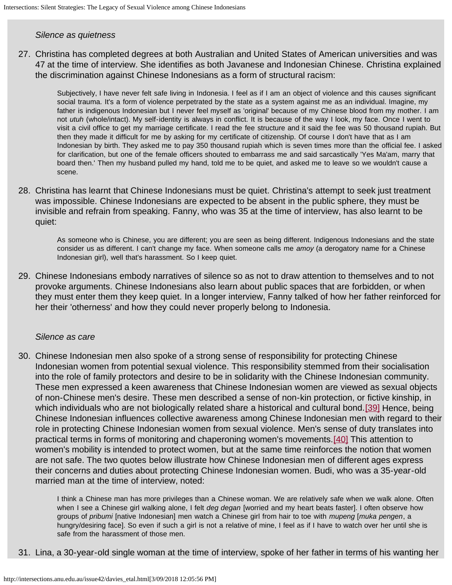#### *Silence as quietness*

27. Christina has completed degrees at both Australian and United States of American universities and was 47 at the time of interview. She identifies as both Javanese and Indonesian Chinese. Christina explained the discrimination against Chinese Indonesians as a form of structural racism:

Subjectively, I have never felt safe living in Indonesia. I feel as if I am an object of violence and this causes significant social trauma. It's a form of violence perpetrated by the state as a system against me as an individual. Imagine, my father is indigenous Indonesian but I never feel myself as 'original' because of my Chinese blood from my mother. I am not *utuh* (whole/intact). My self-identity is always in conflict. It is because of the way I look, my face. Once I went to visit a civil office to get my marriage certificate. I read the fee structure and it said the fee was 50 thousand rupiah. But then they made it difficult for me by asking for my certificate of citizenship. Of course I don't have that as I am Indonesian by birth. They asked me to pay 350 thousand rupiah which is seven times more than the official fee. I asked for clarification, but one of the female officers shouted to embarrass me and said sarcastically 'Yes Ma'am, marry that board then.' Then my husband pulled my hand, told me to be quiet, and asked me to leave so we wouldn't cause a scene.

28. Christina has learnt that Chinese Indonesians must be quiet. Christina's attempt to seek just treatment was impossible. Chinese Indonesians are expected to be absent in the public sphere, they must be invisible and refrain from speaking. Fanny, who was 35 at the time of interview, has also learnt to be quiet:

As someone who is Chinese, you are different; you are seen as being different. Indigenous Indonesians and the state consider us as different. I can't change my face. When someone calls me *amoy* (a derogatory name for a Chinese Indonesian girl), well that's harassment. So I keep quiet.

29. Chinese Indonesians embody narratives of silence so as not to draw attention to themselves and to not provoke arguments. Chinese Indonesians also learn about public spaces that are forbidden, or when they must enter them they keep quiet. In a longer interview, Fanny talked of how her father reinforced for her their 'otherness' and how they could never properly belong to Indonesia.

#### *Silence as care*

<span id="page-6-0"></span>30. Chinese Indonesian men also spoke of a strong sense of responsibility for protecting Chinese Indonesian women from potential sexual violence. This responsibility stemmed from their socialisation into the role of family protectors and desire to be in solidarity with the Chinese Indonesian community. These men expressed a keen awareness that Chinese Indonesian women are viewed as sexual objects of non-Chinese men's desire. These men described a sense of non-kin protection, or fictive kinship, in which individuals who are not biologically related share a historical and cultural bond.[\[39\]](#page-10-5) Hence, being Chinese Indonesian influences collective awareness among Chinese Indonesian men with regard to their role in protecting Chinese Indonesian women from sexual violence. Men's sense of duty translates into practical terms in forms of monitoring and chaperoning women's movements.[\[40\]](#page-10-6) This attention to women's mobility is intended to protect women, but at the same time reinforces the notion that women are not safe. The two quotes below illustrate how Chinese Indonesian men of different ages express their concerns and duties about protecting Chinese Indonesian women. Budi, who was a 35-year-old married man at the time of interview, noted:

<span id="page-6-1"></span>I think a Chinese man has more privileges than a Chinese woman. We are relatively safe when we walk alone. Often when I see a Chinese girl walking alone, I felt *deg degan* [worried and my heart beats faster]. I often observe how groups of *pribumi* [native Indonesian] men watch a Chinese girl from hair to toe with *mupeng* [*muka pengen*, a hungry/desiring face]. So even if such a girl is not a relative of mine, I feel as if I have to watch over her until she is safe from the harassment of those men.

31. Lina, a 30-year-old single woman at the time of interview, spoke of her father in terms of his wanting her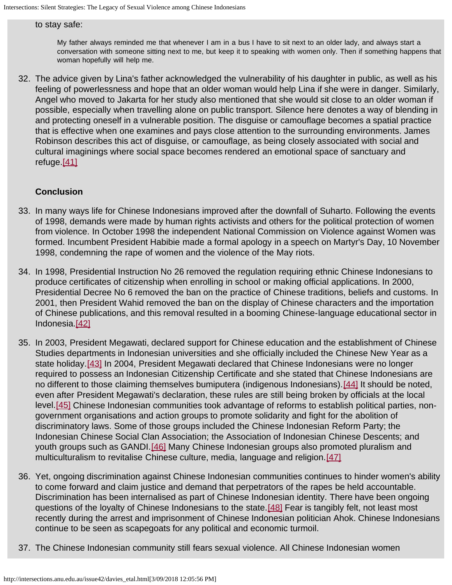#### to stay safe:

My father always reminded me that whenever I am in a bus I have to sit next to an older lady, and always start a conversation with someone sitting next to me, but keep it to speaking with women only. Then if something happens that woman hopefully will help me.

32. The advice given by Lina's father acknowledged the vulnerability of his daughter in public, as well as his feeling of powerlessness and hope that an older woman would help Lina if she were in danger. Similarly, Angel who moved to Jakarta for her study also mentioned that she would sit close to an older woman if possible, especially when travelling alone on public transport. Silence here denotes a way of blending in and protecting oneself in a vulnerable position. The disguise or camouflage becomes a spatial practice that is effective when one examines and pays close attention to the surrounding environments. James Robinson describes this act of disguise, or camouflage, as being closely associated with social and cultural imaginings where social space becomes rendered an emotional space of sanctuary and refuge.<sup>[\[41\]](#page-10-7)</sup>

## <span id="page-7-0"></span>**Conclusion**

- 33. In many ways life for Chinese Indonesians improved after the downfall of Suharto. Following the events of 1998, demands were made by human rights activists and others for the political protection of women from violence. In October 1998 the independent National Commission on Violence against Women was formed. Incumbent President Habibie made a formal apology in a speech on Martyr's Day, 10 November 1998, condemning the rape of women and the violence of the May riots.
- 34. In 1998, Presidential Instruction No 26 removed the regulation requiring ethnic Chinese Indonesians to produce certificates of citizenship when enrolling in school or making official applications. In 2000, Presidential Decree No 6 removed the ban on the practice of Chinese traditions, beliefs and customs. In 2001, then President Wahid removed the ban on the display of Chinese characters and the importation of Chinese publications, and this removal resulted in a booming Chinese-language educational sector in Indonesia.[\[42\]](#page-10-8)
- <span id="page-7-4"></span><span id="page-7-3"></span><span id="page-7-2"></span><span id="page-7-1"></span>35. In 2003, President Megawati, declared support for Chinese education and the establishment of Chinese Studies departments in Indonesian universities and she officially included the Chinese New Year as a state holiday.[\[43\]](#page-10-9) In 2004, President Megawati declared that Chinese Indonesians were no longer required to possess an Indonesian Citizenship Certificate and she stated that Chinese Indonesians are no different to those claiming themselves bumiputera (indigenous Indonesians).[\[44\]](#page-10-10) It should be noted, even after President Megawati's declaration, these rules are still being broken by officials at the local level.[\[45\]](#page-10-11) Chinese Indonesian communities took advantage of reforms to establish political parties, nongovernment organisations and action groups to promote solidarity and fight for the abolition of discriminatory laws. Some of those groups included the Chinese Indonesian Reform Party; the Indonesian Chinese Social Clan Association; the Association of Indonesian Chinese Descents; and youth groups such as GANDI.<sup>[\[46\]](#page-10-12)</sup> Many Chinese Indonesian groups also promoted pluralism and multiculturalism to revitalise Chinese culture, media, language and religion.[\[47\]](#page-10-13)
- <span id="page-7-7"></span><span id="page-7-6"></span><span id="page-7-5"></span>36. Yet, ongoing discrimination against Chinese Indonesian communities continues to hinder women's ability to come forward and claim justice and demand that perpetrators of the rapes be held accountable. Discrimination has been internalised as part of Chinese Indonesian identity. There have been ongoing questions of the loyalty of Chinese Indonesians to the state.[\[48\]](#page-10-14) Fear is tangibly felt, not least most recently during the arrest and imprisonment of Chinese Indonesian politician Ahok. Chinese Indonesians continue to be seen as scapegoats for any political and economic turmoil.
- 37. The Chinese Indonesian community still fears sexual violence. All Chinese Indonesian women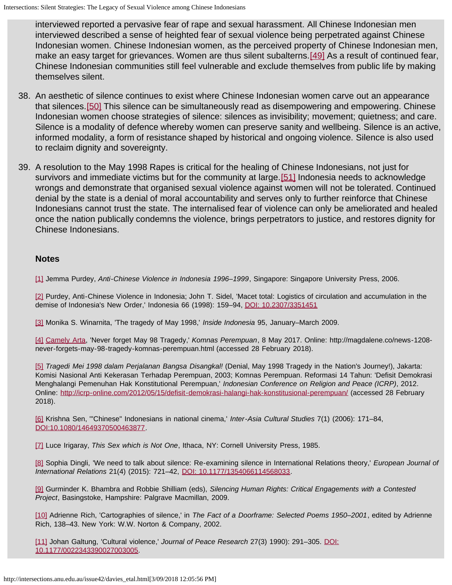interviewed reported a pervasive fear of rape and sexual harassment. All Chinese Indonesian men interviewed described a sense of heighted fear of sexual violence being perpetrated against Chinese Indonesian women. Chinese Indonesian women, as the perceived property of Chinese Indonesian men, make an easy target for grievances. Women are thus silent subalterns. [\[49\]](#page-10-15) As a result of continued fear, Chinese Indonesian communities still feel vulnerable and exclude themselves from public life by making themselves silent.

- <span id="page-8-12"></span><span id="page-8-11"></span>38. An aesthetic of silence continues to exist where Chinese Indonesian women carve out an appearance that silences.[\[50\]](#page-10-16) This silence can be simultaneously read as disempowering and empowering. Chinese Indonesian women choose strategies of silence: silences as invisibility; movement; quietness; and care. Silence is a modality of defence whereby women can preserve sanity and wellbeing. Silence is an active, informed modality, a form of resistance shaped by historical and ongoing violence. Silence is also used to reclaim dignity and sovereignty.
- <span id="page-8-13"></span>39. A resolution to the May 1998 Rapes is critical for the healing of Chinese Indonesians, not just for survivors and immediate victims but for the community at large.<sup>[51]</sup> Indonesia needs to acknowledge wrongs and demonstrate that organised sexual violence against women will not be tolerated. Continued denial by the state is a denial of moral accountability and serves only to further reinforce that Chinese Indonesians cannot trust the state. The internalised fear of violence can only be ameliorated and healed once the nation publically condemns the violence, brings perpetrators to justice, and restores dignity for Chinese Indonesians.

#### **Notes**

<span id="page-8-0"></span>[\[1\]](#page-0-0) Jemma Purdey, *Anti-Chinese Violence in Indonesia 1996–1999*, Singapore: Singapore University Press, 2006.

<span id="page-8-1"></span>[\[2\]](#page-0-1) Purdey, Anti-Chinese Violence in Indonesia; John T. Sidel, 'Macet total: Logistics of circulation and accumulation in the demise of Indonesia's New Order,' Indonesia 66 (1998): 159–94, [DOI: 10.2307/3351451](https://doi.org/10.2307/3351451)

<span id="page-8-2"></span>[\[3\]](#page-0-2) Monika S. Winarnita, 'The tragedy of May 1998,' *Inside Indonesia* 95, January–March 2009.

<span id="page-8-3"></span>[\[4\]](#page-0-3) [Camely Arta](http://magdalene.co/news-1208-never-forgets-may-98-tragedy-komnas-perempuan.html), 'Never forget May 98 Tragedy,' *Komnas Perempuan*, 8 May 2017. Online: http://magdalene.co/news-1208 never-forgets-may-98-tragedy-komnas-perempuan.html (accessed 28 February 2018).

<span id="page-8-4"></span>[\[5\]](#page-0-4) *Tragedi Mei 1998 dalam Perjalanan Bangsa Disangkal!* (Denial, May 1998 Tragedy in the Nation's Journey!), Jakarta: Komisi Nasional Anti Kekerasan Terhadap Perempuan, 2003; Komnas Perempuan. Reformasi 14 Tahun: 'Defisit Demokrasi Menghalangi Pemenuhan Hak Konstitutional Perempuan,' *Indonesian Conference on Religion and Peace (ICRP)*, 2012. Online: <http://icrp-online.com/2012/05/15/defisit-demokrasi-halangi-hak-konstitusional-perempuan/>(accessed 28 February 2018).

<span id="page-8-5"></span>[\[6\]](#page-0-5) Krishna Sen, '"Chinese" Indonesians in national cinema,' *Inter-Asia Cultural Studies* 7(1) (2006): 171–84, [DOI:10.1080/14649370500463877.](https://doi.org/10.1080/14649370500463877)

<span id="page-8-6"></span>[\[7\]](#page-1-0) Luce Irigaray, *This Sex which is Not One*, Ithaca, NY: Cornell University Press, 1985.

<span id="page-8-7"></span>[\[8\]](#page-1-1) Sophia Dingli, 'We need to talk about silence: Re-examining silence in International Relations theory,' *European Journal of International Relations* 21(4) (2015): 721–42, [DOI: 10.1177/1354066114568033.](https://doi.org/10.1177/1354066114568033)

<span id="page-8-8"></span>[\[9\]](#page-1-1) Gurminder K. Bhambra and Robbie Shilliam (eds), *Silencing Human Rights: Critical Engagements with a Contested Project*, Basingstoke, Hampshire: Palgrave Macmillan, 2009.

<span id="page-8-9"></span>[\[10\]](#page-1-2) Adrienne Rich, 'Cartographies of silence,' in *The Fact of a Doorframe: Selected Poems 1950–2001*, edited by Adrienne Rich, 138–43. New York: W.W. Norton & Company, 2002.

<span id="page-8-10"></span>[\[11\]](#page-1-3) Johan Galtung, 'Cultural violence,' *Journal of Peace Research* 27(3) 1990): 291–305. [DOI:](https://doi.org/10.1177/0022343390027003005) [10.1177/0022343390027003005](https://doi.org/10.1177/0022343390027003005).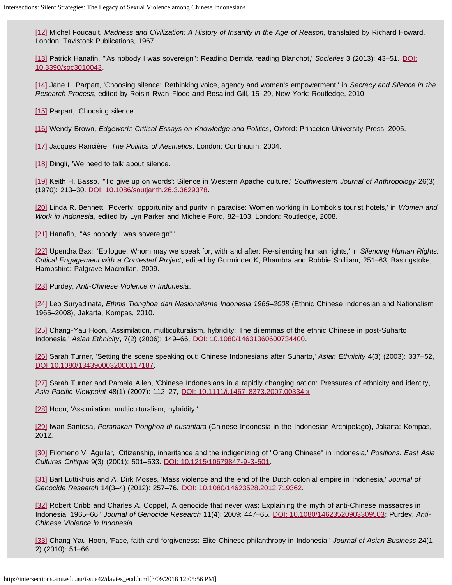<span id="page-9-0"></span>[\[12\]](#page-1-4) Michel Foucault, *Madness and Civilization: A History of Insanity in the Age of Reason*, translated by Richard Howard, London: Tavistock Publications, 1967.

<span id="page-9-1"></span>[\[13\]](#page-1-5) Patrick Hanafin, '"As nobody I was sovereign": Reading Derrida reading Blanchot,' *Societies* 3 (2013): 43–51. [DOI:](https://doi.org/10.3390/soc3010043) [10.3390/soc3010043](https://doi.org/10.3390/soc3010043).

<span id="page-9-2"></span>[\[14\]](#page-1-6) Jane L. Parpart, 'Choosing silence: Rethinking voice, agency and women's empowerment,' in *Secrecy and Silence in the Research Process*, edited by Roisin Ryan-Flood and Rosalind Gill, 15–29, New York: Routledge, 2010.

<span id="page-9-3"></span>[\[15\]](#page-1-7) Parpart, 'Choosing silence.'

<span id="page-9-4"></span>[\[16\]](#page-1-8) Wendy Brown, *Edgework: Critical Essays on Knowledge and Politics*, Oxford: Princeton University Press, 2005.

<span id="page-9-5"></span>[\[17\]](#page-1-9) Jacques Rancière, *The Politics of Aesthetics*, London: Continuum, 2004.

<span id="page-9-6"></span>[\[18\]](#page-1-10) Dingli, 'We need to talk about silence.'

<span id="page-9-7"></span>[\[19\]](#page-1-11) Keith H. Basso, '"To give up on words': Silence in Western Apache culture,' *Southwestern Journal of Anthropology* 26(3) (1970): 213–30. [DOI: 10.1086/soutjanth.26.3.3629378.](https://doi.org/10.1086/soutjanth.26.3.3629378)

<span id="page-9-8"></span>[\[20\]](#page-1-12) Linda R. Bennett, 'Poverty, opportunity and purity in paradise: Women working in Lombok's tourist hotels,' in *Women and Work in Indonesia*, edited by Lyn Parker and Michele Ford, 82–103. London: Routledge, 2008.

<span id="page-9-9"></span>[\[21\]](#page-1-13) Hanafin, "As nobody I was sovereign".

<span id="page-9-10"></span>[\[22\]](#page-1-14) Upendra Baxi, 'Epilogue: Whom may we speak for, with and after: Re-silencing human rights,' in *Silencing Human Rights: Critical Engagement with a Contested Project*, edited by Gurminder K, Bhambra and Robbie Shilliam, 251–63, Basingstoke, Hampshire: Palgrave Macmillan, 2009.

<span id="page-9-11"></span>[\[23\]](#page-2-0) Purdey, *Anti-Chinese Violence in Indonesia*.

<span id="page-9-12"></span>[\[24\]](#page-2-1) Leo Suryadinata, *Ethnis Tionghoa dan Nasionalisme Indonesia 1965–2008* (Ethnic Chinese Indonesian and Nationalism 1965–2008), Jakarta, Kompas, 2010.

<span id="page-9-13"></span>[\[25\]](#page-2-2) Chang-Yau Hoon, 'Assimilation, multiculturalism, hybridity: The dilemmas of the ethnic Chinese in post-Suharto Indonesia,' *Asian Ethnicity*, 7(2) (2006): 149–66, [DOI: 10.1080/14631360600734400](https://doi.org/10.1080/14631360600734400).

<span id="page-9-14"></span>[\[26\]](#page-2-3) Sarah Turner, 'Setting the scene speaking out: Chinese Indonesians after Suharto,' *Asian Ethnicity* 4(3) (2003): 337–52, [DOI 10.1080/1343900032000117187.](https://doi.org/10.1080/1343900032000117187)

<span id="page-9-15"></span>[\[27\]](#page-2-4) Sarah Turner and Pamela Allen, 'Chinese Indonesians in a rapidly changing nation: Pressures of ethnicity and identity,' *Asia Pacific Viewpoint* 48(1) (2007): 112–27, [DOI: 10.1111/j.1467-8373.2007.00334.x](https://doi.org/10.1111/j.1467-8373.2007.00334.x).

<span id="page-9-16"></span>[\[28\]](#page-2-5) Hoon, 'Assimilation, multiculturalism, hybridity.'

<span id="page-9-17"></span>[\[29\]](#page-2-6) Iwan Santosa, *Peranakan Tionghoa di nusantara* (Chinese Indonesia in the Indonesian Archipelago), Jakarta: Kompas, 2012.

<span id="page-9-18"></span>[\[30\]](#page-2-7) Filomeno V. Aguilar, 'Citizenship, inheritance and the indigenizing of "Orang Chinese" in Indonesia,' *Positions: East Asia Cultures Critique* 9(3) (2001): 501–533. [DOI: 10.1215/10679847-9-3-501](https://doi.org/10.1215/10679847-9-3-501).

<span id="page-9-19"></span>[\[31\]](#page-2-8) Bart Luttikhuis and A. Dirk Moses, 'Mass violence and the end of the Dutch colonial empire in Indonesia,' *Journal of Genocide Research* 14(3–4) (2012): 257–76. [DOI: 10.1080/14623528.2012.719362.](https://doi.org/10.1080/14623528.2012.719362)

<span id="page-9-20"></span>[\[32\]](#page-2-9) Robert Cribb and Charles A. Coppel, 'A genocide that never was: Explaining the myth of anti-Chinese massacres in Indonesia, 1965–66,' *Journal of Genocide Research* 11(4): 2009: 447–65. [DOI: 10.1080/14623520903309503;](https://doi.org/10.1080/14623520903309503) Purdey, *Anti-Chinese Violence in Indonesia*.

<span id="page-9-21"></span>[\[33\]](#page-4-0) Chang Yau Hoon, 'Face, faith and forgiveness: Elite Chinese philanthropy in Indonesia,' *Journal of Asian Business* 24(1– 2) (2010): 51–66.